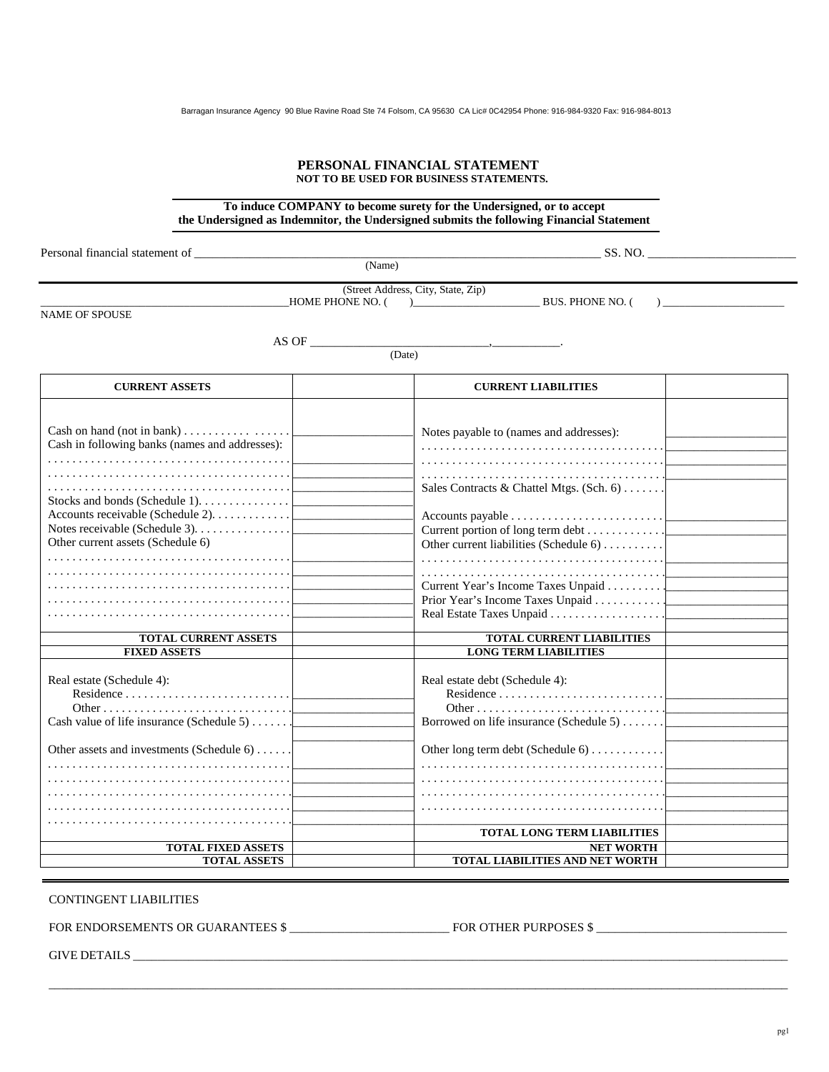#### **PERSONAL FINANCIAL STATEMENT NOT TO BE USED FOR BUSINESS STATEMENTS.**

## **To induce COMPANY to become surety for the Undersigned, or to accept the Undersigned as Indemnitor, the Undersigned submits the following Financial Statement**

Personal financial statement of \_\_\_\_\_\_\_\_\_\_\_\_\_\_\_\_\_\_\_\_\_\_\_\_\_\_\_\_\_\_\_\_\_\_\_\_\_\_\_\_\_\_\_\_\_\_\_\_\_\_\_\_\_\_\_\_\_\_\_\_\_\_\_\_\_\_ SS. NO. \_\_\_\_\_\_\_\_\_\_\_\_\_\_\_\_\_\_\_\_\_\_\_\_ (Name) (Street Address, City, State, Zip)  $\_$  HOME PHONE NO. ( )  $\_\_\_\_\_\_\_\_\_\_\_\_\_\_\_\_\_\_\_\_\_\_$  BUS. PHONE NO. ( )  $\_\_\_\_\_\_\_\_\_\_\_$ NAME OF SPOUSE  $\overrightarrow{AS} \overrightarrow{OF} \longrightarrow \overrightarrow{O \text{ (Date)}}$  (Date) **CURRENT ASSETS** CURRENT LIABILITIES Cash on hand (not in bank) . . . . . . . . . . . . . . . . . . Cash in following banks (names and addresses): . . . . . . . . . . . . . . . . . . . . . . . . . . . . . . . . . . . . . . . . . . . . . . . . . . . . . . . . . . . . . . . . . . . . . . . . . . . . . . . . . . . . . . . . . . . . . . . . . . . . . . . . . . . . . . . . . . . . . . . . Stocks and bonds (Schedule 1). . . . . . . . . . . . . . . Accounts receivable (Schedule 2). . . . . . . . . . . . . Notes receivable (Schedule 3). . . . . . . . . . . . . . . . Other current assets (Schedule 6) . . . . . . . . . . . . . . . . . . . . . . . . . . . . . . . . . . . . . . . . . . . . . . . . . . . . . . . . . . . . . . . . . . . . . . . . . . . . . . . . . . . . . . . . . . . . . . . . . . . . . . . . . . . . . . . . . . . . . . . . . . . . . . . . . . . . . . . . . . . . . . . . . . . . . . . . . . . . . . . . . . . . . . . . . . . . . . . . . . . . . . . . . . . . . . . . . . . . . . . .  $\overline{\phantom{a}}$  , where the contract of the contract of the contract of the contract of the contract of the contract of the contract of the contract of the contract of the contract of the contract of the contract of the contr  $\overline{\phantom{a}}$  , we can consider the constraint of  $\overline{\phantom{a}}$  $\overline{\phantom{a}}$  , we can also the contract of the contract of the contract of the contract of the contract of the contract of the contract of the contract of the contract of the contract of the contract of the contract of the  $\overline{\phantom{a}}$  , we can also the contract of the contract of the contract of the contract of the contract of the contract of the contract of the contract of the contract of the contract of the contract of the contract of the  $\overline{\phantom{a}}$  , we can also the contract of the contract of the contract of the contract of the contract of the contract of the contract of the contract of the contract of the contract of the contract of the contract of the  $\overline{\phantom{a}}$  , we can also the contract of the contract of the contract of the contract of the contract of the contract of the contract of the contract of the contract of the contract of the contract of the contract of the  $\overline{\phantom{a}}$  , where the contract of the contract of the contract of the contract of the contract of the contract of the contract of the contract of the contract of the contract of the contract of the contract of the contr  $\overline{\phantom{a}}$  , we can also the contract of the contract of the contract of the contract of the contract of the contract of the contract of the contract of the contract of the contract of the contract of the contract of the  $\overline{\phantom{a}}$  , we can also the contract of the contract of the contract of the contract of the contract of the contract of the contract of the contract of the contract of the contract of the contract of the contract of the  $\overline{\phantom{a}}$  , we can also the contract of the contract of the contract of the contract of the contract of the contract of the contract of the contract of the contract of the contract of the contract of the contract of the  $\overline{\phantom{a}}$  , we can also the contract of the contract of the contract of the contract of the contract of the contract of the contract of the contract of the contract of the contract of the contract of the contract of the  $\overline{\phantom{a}}$  , where the contract of the contract of the contract of the contract of the contract of the contract of the contract of the contract of the contract of the contract of the contract of the contract of the contr Notes payable to (names and addresses): . . . . . . . . . . . . . . . . . . . . . . . . . . . . . . . . . . . . . . . . . . . . . . . . . . . . . . . . . . . . . . . . . . . . . . . . . . . . . . . . . . . . . . . . . . . . . . . . . . . . . . . . . . . . . . . . . . . . . . . . Sales Contracts & Chattel Mtgs. (Sch. 6) . . . . . . . Accounts payable . . . . . . . . . . . . . . . . . . . . . . . . . Current portion of long term debt . . . . . . . . . . . . . Other current liabilities (Schedule 6) . . . . . . . . . . . . . . . . . . . . . . . . . . . . . . . . . . . . . . . . . . . . . . . . . . Current Year's Income Taxes Unpaid . . . . . . . . . . Prior Year's Income Taxes Unpaid . . . . . . . . . . . Real Estate Taxes Unpaid . . . . . . . . . . . . . . . . . .  $\overline{\phantom{a}}$  , we can consider the constraint of  $\overline{\phantom{a}}$  $\overline{\phantom{a}}$  , we can also the contract of the contract of the contract of the contract of the contract of the contract of the contract of the contract of the contract of the contract of the contract of the contract of the  $\overline{\phantom{a}}$  , we can also the contract of the contract of the contract of the contract of the contract of the contract of the contract of the contract of the contract of the contract of the contract of the contract of the \_\_\_\_\_\_\_\_\_\_\_\_\_\_\_\_\_\_\_\_  $\overline{\phantom{a}}$  , we can also the contract of the contract of the contract of the contract of the contract of the contract of the contract of the contract of the contract of the contract of the contract of the contract of the \_\_\_\_\_\_\_\_\_\_\_\_\_\_\_\_\_\_\_\_ \_\_\_\_\_\_\_\_\_\_\_\_\_\_\_\_\_\_\_\_ \_\_\_\_\_\_\_\_\_\_\_\_\_\_\_\_\_\_\_\_ \_\_\_\_\_\_\_\_\_\_\_\_\_\_\_\_\_\_\_\_ \_\_\_\_\_\_\_\_\_\_\_\_\_\_\_\_\_\_\_\_  $\overline{\phantom{a}}$  . The set of the set of the set of the set of the set of the set of the set of the set of the set of the set of the set of the set of the set of the set of the set of the set of the set of the set of the set o **TOTAL CURRENT ASSETS TOTAL CURRENT LIABILITIES FIXED ASSETS** LONG TERM LIABILITIES Real estate (Schedule 4): Residence . . . . . . . . . . . . . . . . . . . . . . . . . . . Other . . . . . . . . . . . . . . . . . . . . . . . . . . . . . . . Cash value of life insurance (Schedule 5) . . . . . . . Other assets and investments (Schedule 6) . . . . . . . . . . . . . . . . . . . . . . . . . . . . . . . . . . . . . . . . . . . . . . . . . . . . . . . . . . . . . . . . . . . . . . . . . . . . . . . . . . . . . . . . . . . . . . . . . . . . . . . . . . . . . . . . . . . . . . . . . . . . . . . . . . . . . . . . . . . . . . . . . . . . . . . . . . . . . . . . . . . . . . . . . . . . . . . . . . . . . . . . . . . . . . . . . . . . . . . . . . . . . . \_\_\_\_\_\_\_\_\_\_\_\_\_\_\_\_\_\_\_\_ \_\_\_\_\_\_\_\_\_\_\_\_\_\_\_\_\_\_\_\_ \_\_\_\_\_\_\_\_\_\_\_\_\_\_\_\_\_\_\_\_  $\overline{\phantom{a}}$  . The set of the set of the set of the set of the set of the set of the set of the set of the set of the set of the set of the set of the set of the set of the set of the set of the set of the set of the set o \_\_\_\_\_\_\_\_\_\_\_\_\_\_\_\_\_\_\_\_ \_\_\_\_\_\_\_\_\_\_\_\_\_\_\_\_\_\_\_\_ \_\_\_\_\_\_\_\_\_\_\_\_\_\_\_\_\_\_\_\_ \_\_\_\_\_\_\_\_\_\_\_\_\_\_\_\_\_\_\_\_  $\overline{\phantom{a}}$  , we can assume that the set of  $\overline{\phantom{a}}$ Real estate debt (Schedule 4): Residence . . . . . . . . . . . . . . . . . . . . . . . . . . . Other . . . . . . . . . . . . . . . . . . . . . . . . . . . . . . . Borrowed on life insurance (Schedule 5) . . . . . . . Other long term debt (Schedule 6) . . . . . . . . . . . . . . . . . . . . . . . . . . . . . . . . . . . . . . . . . . . . . . . . . . . . . . . . . . . . . . . . . . . . . . . . . . . . . . . . . . . . . . . . . . . . . . . . . . . . . . . . . . . . . . . . . . . . . . . . . . . . . . . . . . . . . . . . . . . . . . . . . . . . . . . . . . . . . . . . . . . . . . . . . . . . \_\_\_\_\_\_\_\_\_\_\_\_\_\_\_\_\_\_\_\_\_\_\_\_\_\_\_\_\_\_\_\_\_\_\_\_\_\_\_\_\_ **TOTAL LONG TERM LIABILITIES**  \_\_\_\_\_\_\_\_\_\_\_\_\_\_\_\_\_\_\_\_ \_\_\_\_\_\_\_\_\_\_\_\_\_\_\_\_\_\_\_\_ \_\_\_\_\_\_\_\_\_\_\_\_\_\_\_\_\_\_\_\_  $\overline{\phantom{a}}$  . The set of the set of the set of the set of the set of the set of the set of the set of the set of the set of the set of the set of the set of the set of the set of the set of the set of the set of the set o \_\_\_\_\_\_\_\_\_\_\_\_\_\_\_\_\_\_\_\_ \_\_\_\_\_\_\_\_\_\_\_\_\_\_\_\_\_\_\_\_ \_\_\_\_\_\_\_\_\_\_\_\_\_\_\_\_\_\_\_\_  $\overline{\phantom{a}}$  . The set of the set of the set of the set of the set of the set of the set of the set of the set of the set of the set of the set of the set of the set of the set of the set of the set of the set of the set o  $\overline{\phantom{a}}$  , we can assume that the set of  $\overline{\phantom{a}}$ **TOTAL FIXED ASSETS TOTAL ASSETS TOTAL LIABILITIES AND NET WORTH EXAMPLE CONDECTATION**<br> **PERSONAL PENNISSIAN INSURAL PENNISSIAN INSURANCE AGENCY AND THE VALUE OF A STATISTICS**<br> **TO THE CONDECTANT INSURANCE CONDECTANT INSURANCE CONDECTANT INSURANCE AGENCY IN A PARTICULAR CONDECTANT INS** 

 $\overline{\phantom{a}}$  , and the set of the set of the set of the set of the set of the set of the set of the set of the set of the set of the set of the set of the set of the set of the set of the set of the set of the set of the s

CONTINGENT LIABILITIES

FOR ENDORSEMENTS OR GUARANTEES  $\frac{1}{2}$   $\frac{1}{2}$  FOR OTHER PURPOSES  $\frac{1}{2}$   $\frac{1}{2}$ 

GIVE DETAILS